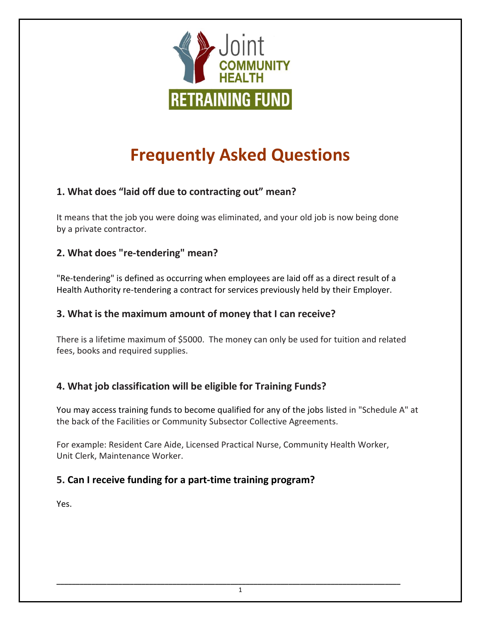

# **Frequently Asked Questions**

# **1. What does "laid off due to contracting out" mean?**

It means that the job you were doing was eliminated, and your old job is now being done by a private contractor.

#### **2. What does "re-tendering" mean?**

"Re-tendering" is defined as occurring when employees are laid off as a direct result of a Health Authority re-tendering a contract for services previously held by their Employer.

#### **3. What is the maximum amount of money that I can receive?**

There is a lifetime maximum of \$5000. The money can only be used for tuition and related fees, books and required supplies.

## **4. What job classification will be eligible for Training Funds?**

You may access training funds to become qualified for any of the jobs listed in "Schedule A" at the back of the Facilities or Community Subsector Collective Agreements.

For example: Resident Care Aide, Licensed Practical Nurse, Community Health Worker, Unit Clerk, Maintenance Worker.

## **5. Can I receive funding for a part-time training program?**

Yes.